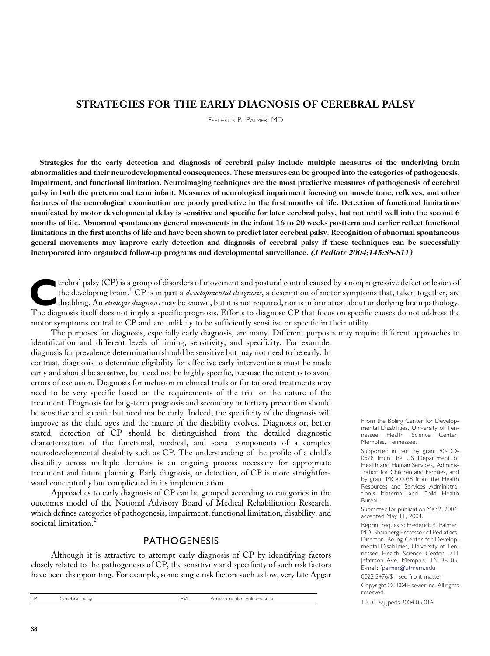# STRATEGIES FOR THE EARLY DIAGNOSIS OF CEREBRAL PALSY

FREDERICK B. PALMER, MD

Strategies for the early detection and diagnosis of cerebral palsy include multiple measures of the underlying brain abnormalities and their neurodevelopmental consequences. These measures can be grouped into the categories of pathogenesis, impairment, and functional limitation. Neuroimaging techniques are the most predictive measures of pathogenesis of cerebral palsy in both the preterm and term infant. Measures of neurological impairment focusing on muscle tone, reflexes, and other features of the neurological examination are poorly predictive in the first months of life. Detection of functional limitations manifested by motor developmental delay is sensitive and specific for later cerebral palsy, but not until well into the second 6 months of life. Abnormal spontaneous general movements in the infant 16 to 20 weeks postterm and earlier reflect functional limitations in the first months of life and have been shown to predict later cerebral palsy. Recognition of abnormal spontaneous general movements may improve early detection and diagnosis of cerebral palsy if these techniques can be successfully incorporated into organized follow-up programs and developmental surveillance. (J Pediatr 2004;145:S8-S11)

erebral palsy (CP) is a group of disorders of movement and postural control caused by a nonprogressive defect or lesion of<br>the developing brain.<sup>1</sup> CP is in part a *developmental diagnosis*, a description of motor symptoms the developing brain.<sup>[1](#page-2-0)</sup> CP is in part a *developmental diagnosis*, a description of motor symptoms that, taken together, are disabling. An *etiologic diagnosis* may be known, but it is not required, nor is information about underlying brain pathology. The diagnosis itself does not imply a specific prognosis. Efforts to diagnose CP that focus on specific causes do not address the motor symptoms central to CP and are unlikely to be sufficiently sensitive or specific in their utility.

The purposes for diagnosis, especially early diagnosis, are many. Different purposes may require different approaches to identification and different levels of timing, sensitivity, and specificity. For example,

diagnosis for prevalence determination should be sensitive but may not need to be early. In contrast, diagnosis to determine eligibility for effective early interventions must be made early and should be sensitive, but need not be highly specific, because the intent is to avoid errors of exclusion. Diagnosis for inclusion in clinical trials or for tailored treatments may need to be very specific based on the requirements of the trial or the nature of the treatment. Diagnosis for long-term prognosis and secondary or tertiary prevention should be sensitive and specific but need not be early. Indeed, the specificity of the diagnosis will improve as the child ages and the nature of the disability evolves. Diagnosis or, better stated, detection of CP should be distinguished from the detailed diagnostic characterization of the functional, medical, and social components of a complex neurodevelopmental disability such as CP. The understanding of the profile of a child's disability across multiple domains is an ongoing process necessary for appropriate treatment and future planning. Early diagnosis, or detection, of CP is more straightforward conceptually but complicated in its implementation.

Approaches to early diagnosis of CP can be grouped according to categories in the outcomes model of the National Advisory Board of Medical Rehabilitation Research, which defines categories of pathogenesis, impairment, functional limitation, disability, and societal limitation.<sup>[2](#page-2-0)</sup>

#### PATHOGENESIS

Although it is attractive to attempt early diagnosis of CP by identifying factors closely related to the pathogenesis of CP, the sensitivity and specificity of such risk factors have been disappointing. For example, some single risk factors such as low, very late Apgar

| <b>CP</b><br>PVI<br>Cerebral palsy<br>Periventricular leukomalacia<br>. |  |
|-------------------------------------------------------------------------|--|
|-------------------------------------------------------------------------|--|

From the Boling Center for Developmental Disabilities, University of Tennessee Health Science Center, Memphis, Tennessee.

Supported in part by grant 90-DD-0578 from the US Department of Health and Human Services, Administration for Children and Families, and by grant MC-00038 from the Health Resources and Services Administration's Maternal and Child Health Bureau.

Submitted for publication Mar 2, 2004; accepted May 11, 2004.

Reprint requests: Frederick B. Palmer, MD, Shainberg Professor of Pediatrics, Director, Boling Center for Developmental Disabilities, University of Tennessee Health Science Center, 711 Jefferson Ave, Memphis, TN 38105. E-mail: [fpalmer@utmem.edu.](mailto:fpalmer@utmem.edu)

0022-3476/\$ - see front matter Copyright © 2004 Elsevier Inc. All rights reserved.

10.1016/j.jpeds.2004.05.016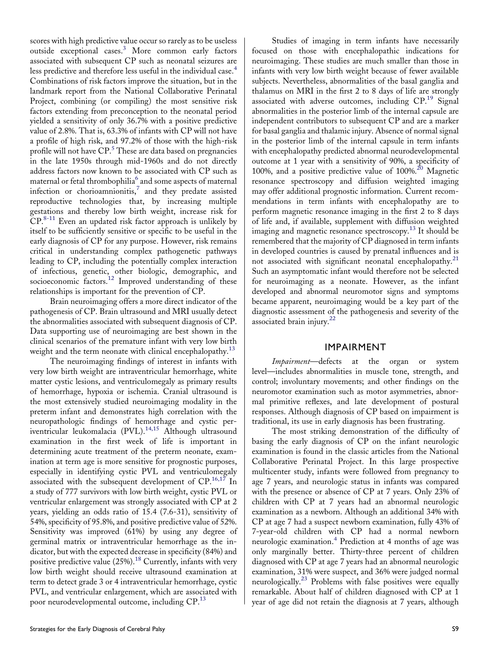scores with high predictive value occur so rarely as to be useless outside exceptional cases.[3](#page-2-0) More common early factors associated with subsequent CP such as neonatal seizures are less predictive and therefore less useful in the individual case.<sup>[4](#page-2-0)</sup> Combinations of risk factors improve the situation, but in the landmark report from the National Collaborative Perinatal Project, combining (or compiling) the most sensitive risk factors extending from preconception to the neonatal period yielded a sensitivity of only 36.7% with a positive predictive value of 2.8%. That is, 63.3% of infants with CP will not have a profile of high risk, and 97.2% of those with the high-risk profile will not have  $CP<sup>5</sup>$  $CP<sup>5</sup>$  $CP<sup>5</sup>$ . These are data based on pregnancies in the late 1950s through mid-1960s and do not directly address factors now known to be associated with CP such as maternal or fetal thrombophilia<sup>[6](#page-2-0)</sup> and some aspects of maternal infection or chorioamnionitis, $^7$  $^7$  and they predate assisted reproductive technologies that, by increasing multiple gestations and thereby low birth weight, increase risk for  $CP<sup>8-11</sup>$  $CP<sup>8-11</sup>$  $CP<sup>8-11</sup>$  Even an updated risk factor approach is unlikely by itself to be sufficiently sensitive or specific to be useful in the early diagnosis of CP for any purpose. However, risk remains critical in understanding complex pathogenetic pathways leading to CP, including the potentially complex interaction of infectious, genetic, other biologic, demographic, and socioeconomic factors.<sup>[12](#page-3-0)</sup> Improved understanding of these relationships is important for the prevention of CP.

Brain neuroimaging offers a more direct indicator of the pathogenesis of CP. Brain ultrasound and MRI usually detect the abnormalities associated with subsequent diagnosis of CP. Data supporting use of neuroimaging are best shown in the clinical scenarios of the premature infant with very low birth weight and the term neonate with clinical encephalopathy.<sup>[13](#page-3-0)</sup>

The neuroimaging findings of interest in infants with very low birth weight are intraventricular hemorrhage, white matter cystic lesions, and ventriculomegaly as primary results of hemorrhage, hypoxia or ischemia. Cranial ultrasound is the most extensively studied neuroimaging modality in the preterm infant and demonstrates high correlation with the neuropathologic findings of hemorrhage and cystic per-iventricular leukomalacia (PVL).<sup>[14,15](#page-3-0)</sup> Although ultrasound examination in the first week of life is important in determining acute treatment of the preterm neonate, examination at term age is more sensitive for prognostic purposes, especially in identifying cystic PVL and ventriculomegaly associated with the subsequent development of  $\text{CP}$ .<sup>[16,17](#page-3-0)</sup> In a study of 777 survivors with low birth weight, cystic PVL or ventricular enlargement was strongly associated with CP at 2 years, yielding an odds ratio of 15.4 (7.6-31), sensitivity of 54%, specificity of 95.8%, and positive predictive value of 52%. Sensitivity was improved (61%) by using any degree of germinal matrix or intraventricular hemorrhage as the indicator, but with the expected decrease in specificity (84%) and positive predictive value (25%).<sup>[18](#page-3-0)</sup> Currently, infants with very low birth weight should receive ultrasound examination at term to detect grade 3 or 4 intraventricular hemorrhage, cystic PVL, and ventricular enlargement, which are associated with poor neurodevelopmental outcome, including CP.<sup>[13](#page-3-0)</sup>

Studies of imaging in term infants have necessarily focused on those with encephalopathic indications for neuroimaging. These studies are much smaller than those in infants with very low birth weight because of fewer available subjects. Nevertheless, abnormalities of the basal ganglia and thalamus on MRI in the first 2 to 8 days of life are strongly associated with adverse outcomes, including  $\text{CP.}^{19}$  $\text{CP.}^{19}$  $\text{CP.}^{19}$  Signal abnormalities in the posterior limb of the internal capsule are independent contributors to subsequent CP and are a marker for basal ganglia and thalamic injury. Absence of normal signal in the posterior limb of the internal capsule in term infants with encephalopathy predicted abnormal neurodevelopmental outcome at 1 year with a sensitivity of 90%, a specificity of 100%, and a positive predictive value of  $100\%$ .<sup>[20](#page-3-0)</sup> Magnetic resonance spectroscopy and diffusion weighted imaging may offer additional prognostic information. Current recommendations in term infants with encephalopathy are to perform magnetic resonance imaging in the first 2 to 8 days of life and, if available, supplement with diffusion weighted imaging and magnetic resonance spectroscopy.<sup>[13](#page-3-0)</sup> It should be remembered that the majority of CP diagnosed in term infants in developed countries is caused by prenatal influences and is not associated with significant neonatal encephalopathy.<sup>[21](#page-3-0)</sup> Such an asymptomatic infant would therefore not be selected for neuroimaging as a neonate. However, as the infant developed and abnormal neuromotor signs and symptoms became apparent, neuroimaging would be a key part of the diagnostic assessment of the pathogenesis and severity of the associated brain injury. $^{22}$  $^{22}$  $^{22}$ 

### IMPAIRMENT

Impairment—defects at the organ or system level—includes abnormalities in muscle tone, strength, and control; involuntary movements; and other findings on the neuromotor examination such as motor asymmetries, abnormal primitive reflexes, and late development of postural responses. Although diagnosis of CP based on impairment is traditional, its use in early diagnosis has been frustrating.

The most striking demonstration of the difficulty of basing the early diagnosis of CP on the infant neurologic examination is found in the classic articles from the National Collaborative Perinatal Project. In this large prospective multicenter study, infants were followed from pregnancy to age 7 years, and neurologic status in infants was compared with the presence or absence of CP at 7 years. Only 23% of children with CP at 7 years had an abnormal neurologic examination as a newborn. Although an additional 34% with CP at age 7 had a suspect newborn examination, fully 43% of 7-year-old children with CP had a normal newborn neurologic examination.<sup>[4](#page-2-0)</sup> Prediction at 4 months of age was only marginally better. Thirty-three percent of children diagnosed with CP at age 7 years had an abnormal neurologic examination, 31% were suspect, and 36% were judged normal neurologically.<sup>[23](#page-3-0)</sup> Problems with false positives were equally remarkable. About half of children diagnosed with CP at 1 year of age did not retain the diagnosis at 7 years, although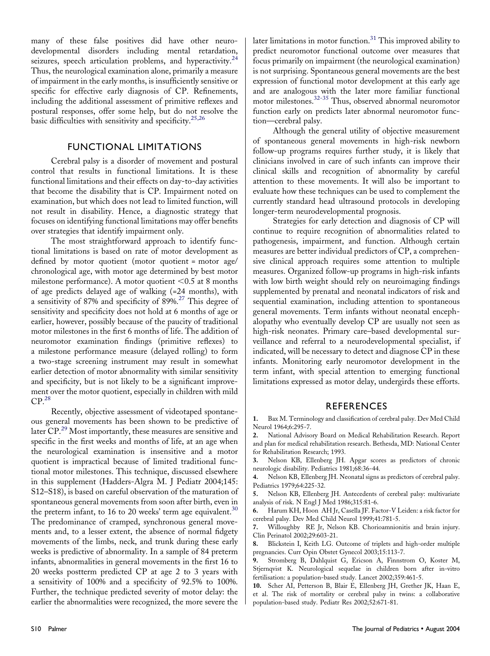<span id="page-2-0"></span>many of these false positives did have other neurodevelopmental disorders including mental retardation, seizures, speech articulation problems, and hyperactivity. $24$ Thus, the neurological examination alone, primarily a measure of impairment in the early months, is insufficiently sensitive or specific for effective early diagnosis of CP. Refinements, including the additional assessment of primitive reflexes and postural responses, offer some help, but do not resolve the basic difficulties with sensitivity and specificity.<sup>[25,26](#page-3-0)</sup>

# FUNCTIONAL LIMITATIONS

Cerebral palsy is a disorder of movement and postural control that results in functional limitations. It is these functional limitations and their effects on day-to-day activities that become the disability that is CP. Impairment noted on examination, but which does not lead to limited function, will not result in disability. Hence, a diagnostic strategy that focuses on identifying functional limitations may offer benefits over strategies that identify impairment only.

The most straightforward approach to identify functional limitations is based on rate of motor development as defined by motor quotient (motor quotient = motor age/ chronological age, with motor age determined by best motor milestone performance). A motor quotient  $< 0.5$  at 8 months of age predicts delayed age of walking (=24 months), with a sensitivity of 87% and specificity of 89%.[27](#page-3-0) This degree of sensitivity and specificity does not hold at 6 months of age or earlier, however, possibly because of the paucity of traditional motor milestones in the first 6 months of life. The addition of neuromotor examination findings (primitive reflexes) to a milestone performance measure (delayed rolling) to form a two-stage screening instrument may result in somewhat earlier detection of motor abnormality with similar sensitivity and specificity, but is not likely to be a significant improvement over the motor quotient, especially in children with mild  $CP<sup>28</sup>$  $CP<sup>28</sup>$  $CP<sup>28</sup>$ 

Recently, objective assessment of videotaped spontaneous general movements has been shown to be predictive of later CP.<sup>[29](#page-3-0)</sup> Most importantly, these measures are sensitive and specific in the first weeks and months of life, at an age when the neurological examination is insensitive and a motor quotient is impractical because of limited traditional functional motor milestones. This technique, discussed elsewhere in this supplement (Hadders-Algra M. J Pediatr 2004;145: S12–S18), is based on careful observation of the maturation of spontaneous general movements from soon after birth, even in the preterm infant, to 16 to 20 weeks' term age equivalent.<sup>[30](#page-3-0)</sup> The predominance of cramped, synchronous general movements and, to a lesser extent, the absence of normal fidgety movements of the limbs, neck, and trunk during these early weeks is predictive of abnormality. In a sample of 84 preterm infants, abnormalities in general movements in the first 16 to 20 weeks postterm predicted CP at age 2 to 3 years with a sensitivity of 100% and a specificity of 92.5% to 100%. Further, the technique predicted severity of motor delay: the earlier the abnormalities were recognized, the more severe the

later limitations in motor function.<sup>[31](#page-3-0)</sup> This improved ability to predict neuromotor functional outcome over measures that focus primarily on impairment (the neurological examination) is not surprising. Spontaneous general movements are the best expression of functional motor development at this early age and are analogous with the later more familiar functional motor milestones.[32-35](#page-3-0) Thus, observed abnormal neuromotor function early on predicts later abnormal neuromotor function—cerebral palsy.

Although the general utility of objective measurement of spontaneous general movements in high-risk newborn follow-up programs requires further study, it is likely that clinicians involved in care of such infants can improve their clinical skills and recognition of abnormality by careful attention to these movements. It will also be important to evaluate how these techniques can be used to complement the currently standard head ultrasound protocols in developing longer-term neurodevelopmental prognosis.

Strategies for early detection and diagnosis of CP will continue to require recognition of abnormalities related to pathogenesis, impairment, and function. Although certain measures are better individual predictors of CP, a comprehensive clinical approach requires some attention to multiple measures. Organized follow-up programs in high-risk infants with low birth weight should rely on neuroimaging findings supplemented by prenatal and neonatal indicators of risk and sequential examination, including attention to spontaneous general movements. Term infants without neonatal encephalopathy who eventually develop CP are usually not seen as high-risk neonates. Primary care–based developmental surveillance and referral to a neurodevelopmental specialist, if indicated, will be necessary to detect and diagnose CP in these infants. Monitoring early neuromotor development in the term infant, with special attention to emerging functional limitations expressed as motor delay, undergirds these efforts.

### REFERENCES

1. Bax M. Terminology and classification of cerebral palsy. Dev Med Child Neurol 1964;6:295-7.

2. National Advisory Board on Medical Rehabilitation Research. Report and plan for medical rehabilitation research. Bethesda, MD: National Center for Rehabilitation Research; 1993.

3. Nelson KB, Ellenberg JH. Apgar scores as predictors of chronic neurologic disability. Pediatrics 1981;68:36-44.

4. Nelson KB, Ellenberg JH. Neonatal signs as predictors of cerebral palsy. Pediatrics 1979;64:225-32.

5. Nelson KB, Ellenberg JH. Antecedents of cerebral palsy: multivariate analysis of risk. N Engl J Med 1986;315:81-6.

6. Harum KH, Hoon AH Jr, Casella JF. Factor-V Leiden: a risk factor for cerebral palsy. Dev Med Child Neurol 1999;41:781-5.

7. Willoughby RE Jr, Nelson KB. Chorioamnionitis and brain injury. Clin Perinatol 2002;29:603-21.

8. Blickstein I, Keith LG. Outcome of triplets and high-order multiple pregnancies. Curr Opin Obstet Gynecol 2003;15:113-7.

9. Stromberg B, Dahlquist G, Ericson A, Finnstrom O, Koster M, Stjernqvist K. Neurological sequelae in children born after in-vitro fertilisation: a population-based study. Lancet 2002;359:461-5.

10. Scher AI, Petterson B, Blair E, Ellenberg JH, Grether JK, Haan E, et al. The risk of mortality or cerebral palsy in twins: a collaborative population-based study. Pediatr Res 2002;52:671-81.